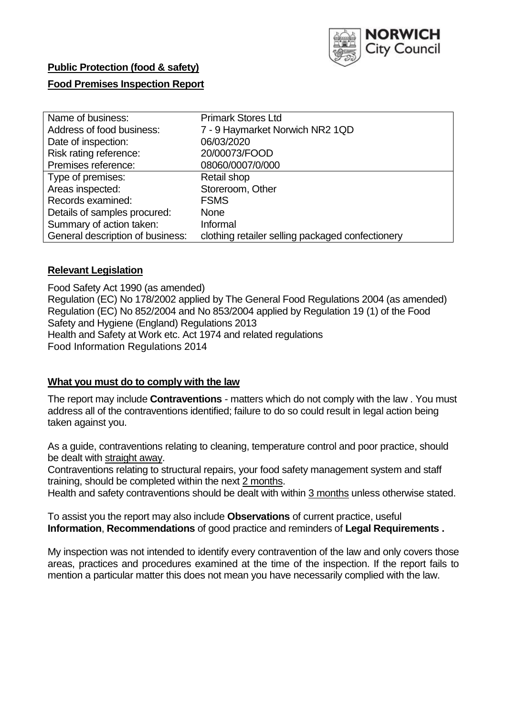

# **Public Protection (food & safety)**

### **Food Premises Inspection Report**

| Name of business:                | <b>Primark Stores Ltd</b>                        |
|----------------------------------|--------------------------------------------------|
| Address of food business:        | 7 - 9 Haymarket Norwich NR2 1QD                  |
| Date of inspection:              | 06/03/2020                                       |
| Risk rating reference:           | 20/00073/FOOD                                    |
| Premises reference:              | 08060/0007/0/000                                 |
| Type of premises:                | Retail shop                                      |
| Areas inspected:                 | Storeroom, Other                                 |
| Records examined:                | <b>FSMS</b>                                      |
| Details of samples procured:     | <b>None</b>                                      |
| Summary of action taken:         | Informal                                         |
| General description of business: | clothing retailer selling packaged confectionery |

#### **Relevant Legislation**

Food Safety Act 1990 (as amended) Regulation (EC) No 178/2002 applied by The General Food Regulations 2004 (as amended) Regulation (EC) No 852/2004 and No 853/2004 applied by Regulation 19 (1) of the Food Safety and Hygiene (England) Regulations 2013 Health and Safety at Work etc. Act 1974 and related regulations Food Information Regulations 2014

#### **What you must do to comply with the law**

The report may include **Contraventions** - matters which do not comply with the law . You must address all of the contraventions identified; failure to do so could result in legal action being taken against you.

As a guide, contraventions relating to cleaning, temperature control and poor practice, should be dealt with straight away.

Contraventions relating to structural repairs, your food safety management system and staff training, should be completed within the next 2 months.

Health and safety contraventions should be dealt with within 3 months unless otherwise stated.

To assist you the report may also include **Observations** of current practice, useful **Information**, **Recommendations** of good practice and reminders of **Legal Requirements .**

My inspection was not intended to identify every contravention of the law and only covers those areas, practices and procedures examined at the time of the inspection. If the report fails to mention a particular matter this does not mean you have necessarily complied with the law.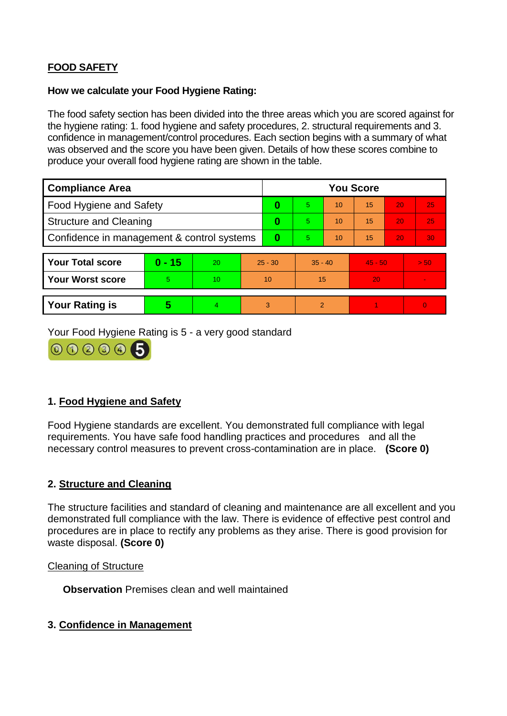## **FOOD SAFETY**

#### **How we calculate your Food Hygiene Rating:**

The food safety section has been divided into the three areas which you are scored against for the hygiene rating: 1. food hygiene and safety procedures, 2. structural requirements and 3. confidence in management/control procedures. Each section begins with a summary of what was observed and the score you have been given. Details of how these scores combine to produce your overall food hygiene rating are shown in the table.

| <b>Compliance Area</b>                     |          |    |           | <b>You Score</b> |                |    |           |    |                |  |  |
|--------------------------------------------|----------|----|-----------|------------------|----------------|----|-----------|----|----------------|--|--|
| Food Hygiene and Safety                    |          |    | 0         | $\overline{5}$   | 10             | 15 | 20        | 25 |                |  |  |
| <b>Structure and Cleaning</b>              |          |    | 0         | 5.               | 10             | 15 | 20        | 25 |                |  |  |
| Confidence in management & control systems |          |    | 0         | 5                | 10             | 15 | 20        | 30 |                |  |  |
|                                            |          |    |           |                  |                |    |           |    |                |  |  |
| <b>Your Total score</b>                    | $0 - 15$ | 20 | $25 - 30$ |                  | $35 - 40$      |    | $45 - 50$ |    | > 50           |  |  |
| <b>Your Worst score</b>                    | 5        | 10 | 10        |                  | 15             |    | 20        |    | $\blacksquare$ |  |  |
|                                            |          |    |           |                  |                |    |           |    |                |  |  |
| <b>Your Rating is</b>                      | 5        | 4  |           | 3                | $\overline{2}$ |    |           |    | $\Omega$       |  |  |

Your Food Hygiene Rating is 5 - a very good standard



## **1. Food Hygiene and Safety**

Food Hygiene standards are excellent. You demonstrated full compliance with legal requirements. You have safe food handling practices and procedures and all the necessary control measures to prevent cross-contamination are in place. **(Score 0)**

## **2. Structure and Cleaning**

The structure facilities and standard of cleaning and maintenance are all excellent and you demonstrated full compliance with the law. There is evidence of effective pest control and procedures are in place to rectify any problems as they arise. There is good provision for waste disposal. **(Score 0)**

#### Cleaning of Structure

**Observation** Premises clean and well maintained

#### **3. Confidence in Management**